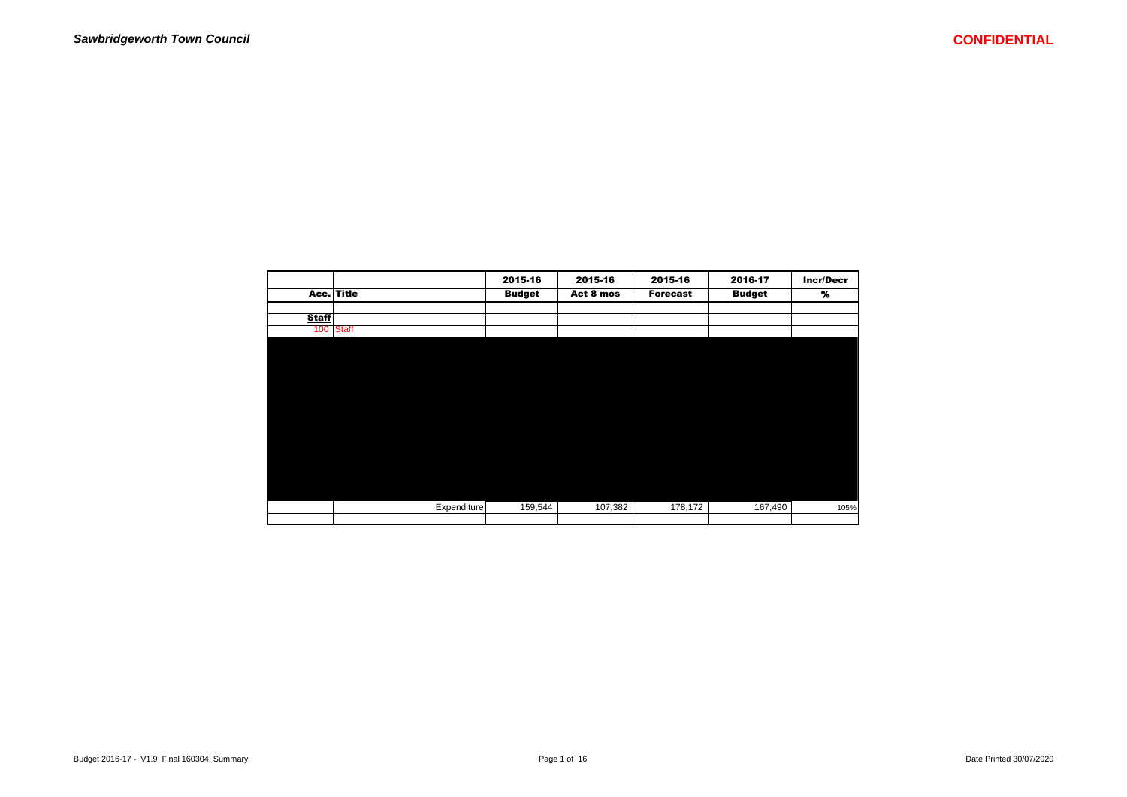|              |              | 2015-16       | 2015-16   | 2015-16         | 2016-17       | <b>Incr/Decr</b> |
|--------------|--------------|---------------|-----------|-----------------|---------------|------------------|
|              | Acc. Title   | <b>Budget</b> | Act 8 mos | <b>Forecast</b> | <b>Budget</b> | %                |
|              |              |               |           |                 |               |                  |
| <b>Staff</b> |              |               |           |                 |               |                  |
| 100          | <b>Staff</b> |               |           |                 |               |                  |
|              |              |               |           |                 |               |                  |
|              |              |               |           |                 |               |                  |
|              |              |               |           |                 |               |                  |
|              |              |               |           |                 |               |                  |
|              |              |               |           |                 |               |                  |
|              |              |               |           |                 |               |                  |
|              |              |               |           |                 |               |                  |
|              |              |               |           |                 |               |                  |
|              |              |               |           |                 |               |                  |
|              |              |               |           |                 |               |                  |
|              |              |               |           |                 |               |                  |
|              |              |               |           |                 |               |                  |
|              |              |               |           |                 |               |                  |
|              |              |               |           |                 |               |                  |
|              | Expenditure  | 159,544       | 107,382   | 178,172         | 167,490       | 105%             |
|              |              |               |           |                 |               |                  |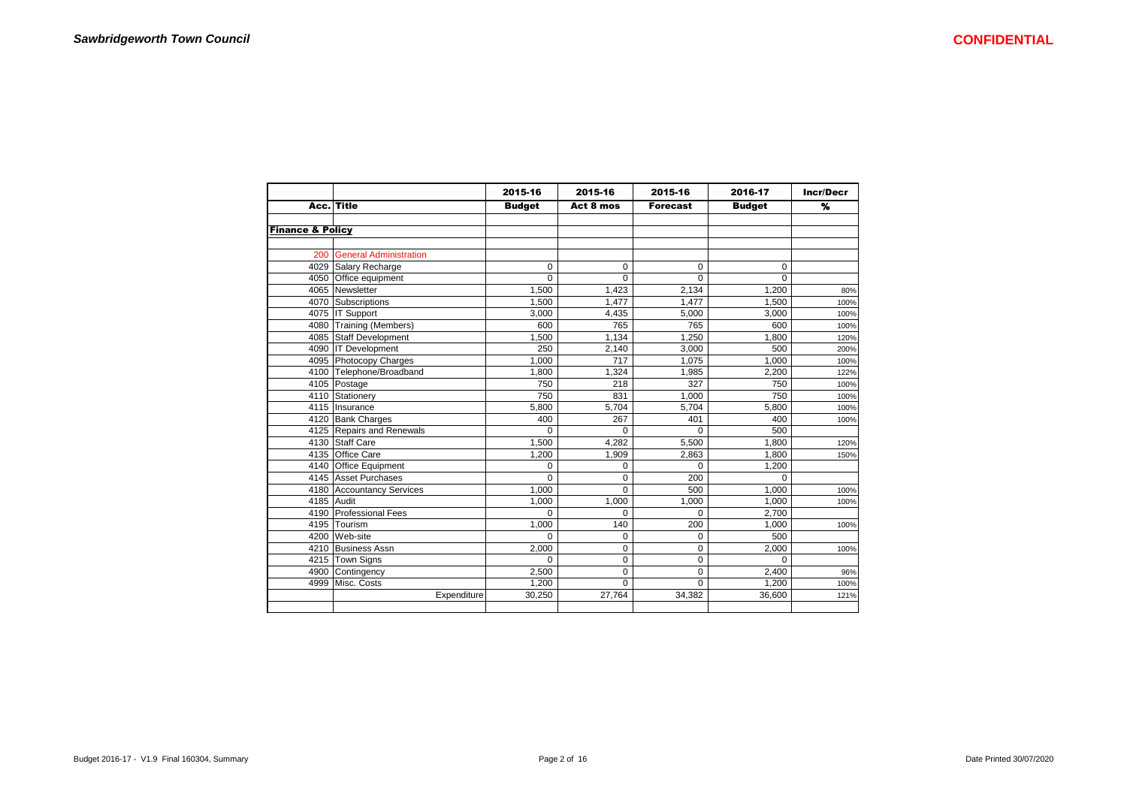|                             |                               | 2015-16       | 2015-16   | 2015-16         | 2016-17       | <b>Incr/Decr</b> |
|-----------------------------|-------------------------------|---------------|-----------|-----------------|---------------|------------------|
|                             | Acc. Title                    | <b>Budget</b> | Act 8 mos | <b>Forecast</b> | <b>Budget</b> | %                |
|                             |                               |               |           |                 |               |                  |
| <b>Finance &amp; Policy</b> |                               |               |           |                 |               |                  |
|                             |                               |               |           |                 |               |                  |
| 200                         | <b>General Administration</b> |               |           |                 |               |                  |
|                             | 4029 Salary Recharge          | 0             | 0         | $\mathbf 0$     | 0             |                  |
|                             | 4050 Office equipment         | $\Omega$      | $\Omega$  | $\Omega$        | $\Omega$      |                  |
|                             | 4065 Newsletter               | 1,500         | 1,423     | 2,134           | 1,200         | 80%              |
|                             | 4070 Subscriptions            | 1.500         | 1.477     | 1.477           | 1,500         | 100%             |
|                             | 4075 IT Support               | 3,000         | 4,435     | 5,000           | 3,000         | 100%             |
|                             | 4080 Training (Members)       | 600           | 765       | 765             | 600           | 100%             |
|                             | 4085 Staff Development        | 1,500         | 1,134     | 1.250           | 1,800         | 120%             |
|                             | 4090 IT Development           | 250           | 2,140     | 3.000           | 500           | 200%             |
|                             | 4095 Photocopy Charges        | 1.000         | 717       | 1.075           | 1,000         | 100%             |
|                             | 4100 Telephone/Broadband      | 1.800         | 1.324     | 1,985           | 2,200         | 122%             |
|                             | 4105 Postage                  | 750           | 218       | 327             | 750           | 100%             |
|                             | 4110 Stationery               | 750           | 831       | 1.000           | 750           | 100%             |
|                             | 4115 Insurance                | 5.800         | 5.704     | 5.704           | 5.800         | 100%             |
|                             | 4120 Bank Charges             | 400           | 267       | 401             | 400           | 100%             |
|                             | 4125 Repairs and Renewals     | $\Omega$      | $\Omega$  | $\Omega$        | 500           |                  |
|                             | 4130 Staff Care               | 1.500         | 4,282     | 5,500           | 1.800         | 120%             |
|                             | 4135 Office Care              | 1,200         | 1,909     | 2,863           | 1,800         | 150%             |
|                             | 4140 Office Equipment         | 0             | 0         | $\Omega$        | 1,200         |                  |
|                             | 4145 Asset Purchases          | $\Omega$      | 0         | 200             | 0             |                  |
|                             | 4180 Accountancy Services     | 1,000         | $\Omega$  | 500             | 1,000         | 100%             |
|                             | 4185 Audit                    | 1.000         | 1.000     | 1.000           | 1.000         | 100%             |
|                             | 4190 Professional Fees        | $\Omega$      | 0         | 0               | 2,700         |                  |
|                             | 4195 Tourism                  | 1,000         | 140       | 200             | 1,000         | 100%             |
|                             | 4200 Web-site                 | 0             | 0         | 0               | 500           |                  |
|                             | 4210 Business Assn            | 2,000         | 0         | $\mathbf 0$     | 2,000         | 100%             |
|                             | 4215 Town Signs               | $\Omega$      | 0         | $\mathbf 0$     | $\Omega$      |                  |
| 4900                        | Contingency                   | 2.500         | 0         | $\mathbf 0$     | 2,400         | 96%              |
| 4999                        | Misc. Costs                   | 1.200         | $\Omega$  | $\Omega$        | 1.200         | 100%             |
|                             | Expenditure                   | 30,250        | 27,764    | 34.382          | 36,600        | 121%             |
|                             |                               |               |           |                 |               |                  |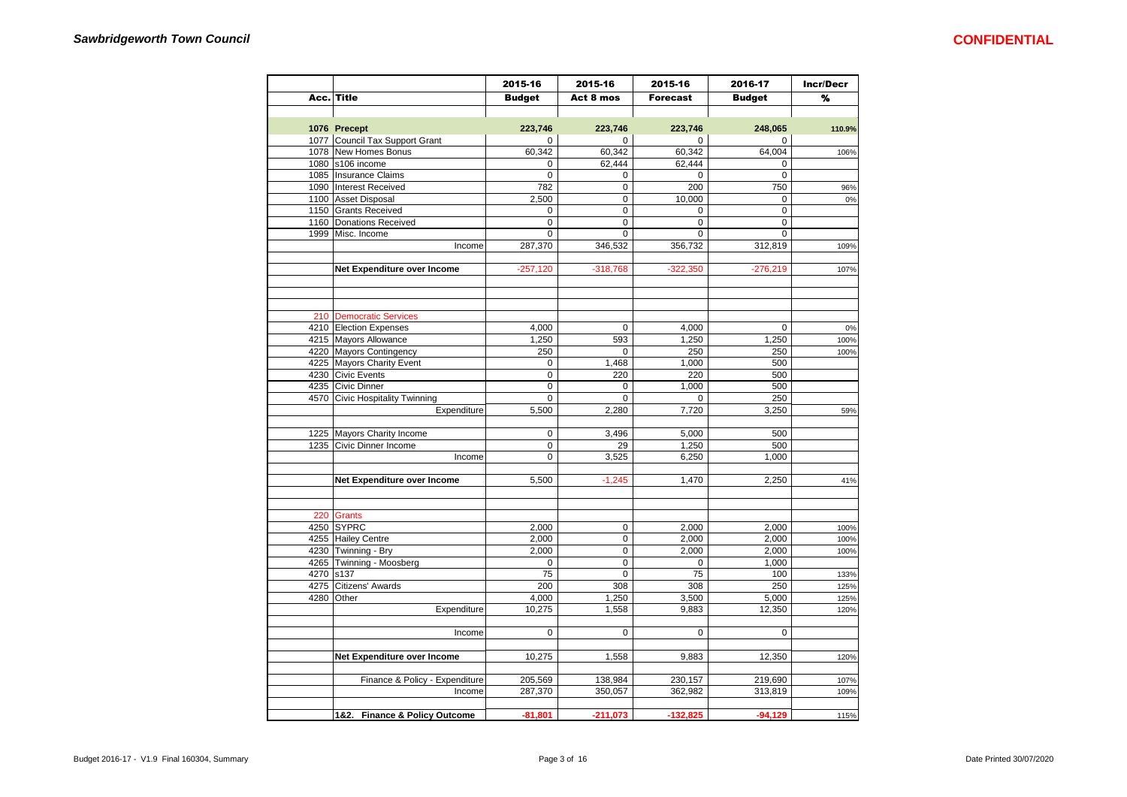|      |                                 | 2015-16       | 2015-16     | 2015-16     | 2016-17       | <b>Incr/Decr</b> |
|------|---------------------------------|---------------|-------------|-------------|---------------|------------------|
|      | Acc. Title                      | <b>Budget</b> | Act 8 mos   | Forecast    | <b>Budget</b> | %                |
|      |                                 |               |             |             |               |                  |
|      | 1076 Precept                    | 223,746       | 223,746     | 223,746     | 248,065       | 110.9%           |
|      | 1077 Council Tax Support Grant  | $\mathbf 0$   | $\mathbf 0$ | $\mathbf 0$ | $\mathbf 0$   |                  |
|      | 1078 New Homes Bonus            | 60,342        | 60,342      | 60,342      | 64,004        | 106%             |
|      | 1080 s106 income                | $\pmb{0}$     | 62,444      | 62,444      | $\pmb{0}$     |                  |
|      | 1085   Insurance Claims         | $\mathbf 0$   | 0           | 0           | $\mathbf 0$   |                  |
|      | 1090 Interest Received          | 782           | 0           | 200         | 750           | 96%              |
|      | 1100 Asset Disposal             | 2,500         | 0           | 10,000      | 0             | 0%               |
|      | 1150 Grants Received            | $\mathbf 0$   | $\Omega$    | $\Omega$    | $\Omega$      |                  |
|      | 1160 Donations Received         | $\mathbf 0$   | $\mathbf 0$ | $\mathbf 0$ | $\mathbf 0$   |                  |
| 1999 | Misc. Income                    | $\pmb{0}$     | 0           | $\mathbf 0$ | $\mathbf 0$   |                  |
|      | Income                          | 287,370       | 346,532     | 356,732     | 312,819       | 109%             |
|      |                                 |               |             |             |               |                  |
|      | Net Expenditure over Income     | $-257,120$    | $-318,768$  | $-322,350$  | $-276,219$    | 107%             |
|      |                                 |               |             |             |               |                  |
|      |                                 |               |             |             |               |                  |
|      |                                 |               |             |             |               |                  |
|      | 210 Democratic Services         |               |             |             |               |                  |
|      | 4210 Election Expenses          | 4,000         | 0           | 4,000       | 0             | 0%               |
|      | 4215 Mayors Allowance           | 1,250         | 593         | 1,250       | 1,250         | 100%             |
|      | 4220 Mayors Contingency         | 250           | 0           | 250         | 250           | 100%             |
|      | 4225 Mayors Charity Event       | 0             | 1,468       | 1,000       | 500           |                  |
|      | 4230 Civic Events               | $\mathbf 0$   | 220         | 220         | 500           |                  |
|      | 4235 Civic Dinner               | $\pmb{0}$     | 0           | 1,000       | 500           |                  |
|      | 4570 Civic Hospitality Twinning |               |             |             |               |                  |
|      |                                 | $\pmb{0}$     | 0           | 0           | 250           |                  |
|      | Expenditure                     | 5,500         | 2,280       | 7,720       | 3,250         | 59%              |
|      |                                 |               |             |             |               |                  |
|      | 1225 Mayors Charity Income      | $\mathbf 0$   | 3,496       | 5,000       | 500           |                  |
|      | 1235 Civic Dinner Income        | 0             | 29          | 1,250       | 500           |                  |
|      | Income                          | $\mathbf 0$   | 3,525       | 6,250       | 1,000         |                  |
|      |                                 |               |             |             |               |                  |
|      | Net Expenditure over Income     | 5,500         | $-1,245$    | 1,470       | 2,250         | 41%              |
|      |                                 |               |             |             |               |                  |
|      |                                 |               |             |             |               |                  |
| 220  | <b>Grants</b>                   |               |             |             |               |                  |
|      | 4250 SYPRC                      | 2,000         | 0           | 2,000       | 2,000         | 100%             |
|      | 4255 Hailey Centre              | 2,000         | $\mathbf 0$ | 2,000       | 2,000         | 100%             |
|      | 4230 Twinning - Bry             | 2,000         | $\pmb{0}$   | 2,000       | 2,000         | 100%             |
|      | 4265 Twinning - Moosberg        | 0             | 0           | $\mathbf 0$ | 1,000         |                  |
| 4270 | s137                            | 75            | 0           | 75          | 100           | 133%             |
| 4275 | Citizens' Awards                | 200           | 308         | 308         | 250           | 125%             |
| 4280 | Other                           | 4,000         | 1,250       | 3,500       | 5,000         | 125%             |
|      | Expenditure                     | 10,275        | 1,558       | 9,883       | 12,350        | 120%             |
|      |                                 |               |             |             |               |                  |
|      | Income                          | $\mathbf 0$   | $\mathbf 0$ | $\mathbf 0$ | $\mathbf 0$   |                  |
|      |                                 |               |             |             |               |                  |
|      | Net Expenditure over Income     | 10,275        | 1,558       | 9,883       | 12,350        | 120%             |
|      |                                 |               |             |             |               |                  |
|      | Finance & Policy - Expenditure  | 205,569       | 138,984     | 230,157     | 219,690       | 107%             |
|      | Income                          | 287,370       | 350,057     | 362,982     | 313,819       | 109%             |
|      |                                 |               |             |             |               |                  |
|      | 1&2. Finance & Policy Outcome   | $-81,801$     | $-211,073$  | $-132,825$  | $-94,129$     | 115%             |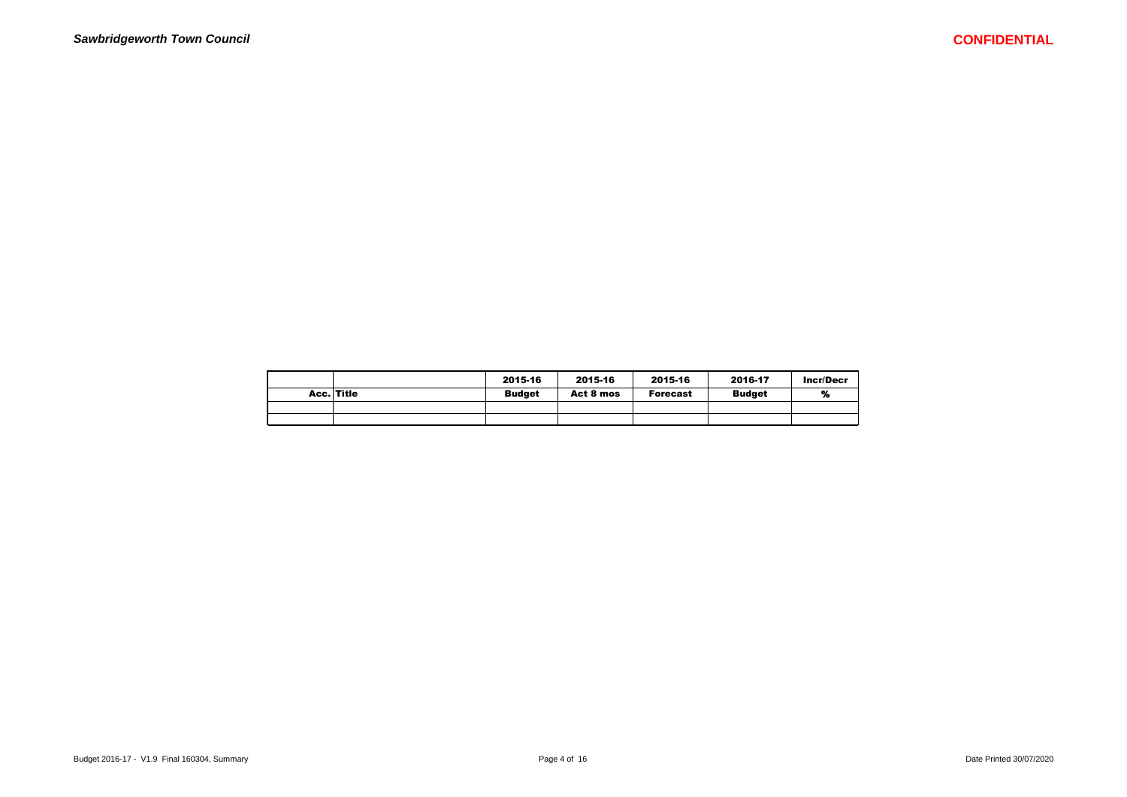|            | 2015-16       | 2015-16   | 2015-16         | 2016-17       | Incr/Decr |
|------------|---------------|-----------|-----------------|---------------|-----------|
| Acc. Title | <b>Budget</b> | Act 8 mos | <b>Forecast</b> | <b>Budget</b> | %         |
|            |               |           |                 |               |           |
|            |               |           |                 |               |           |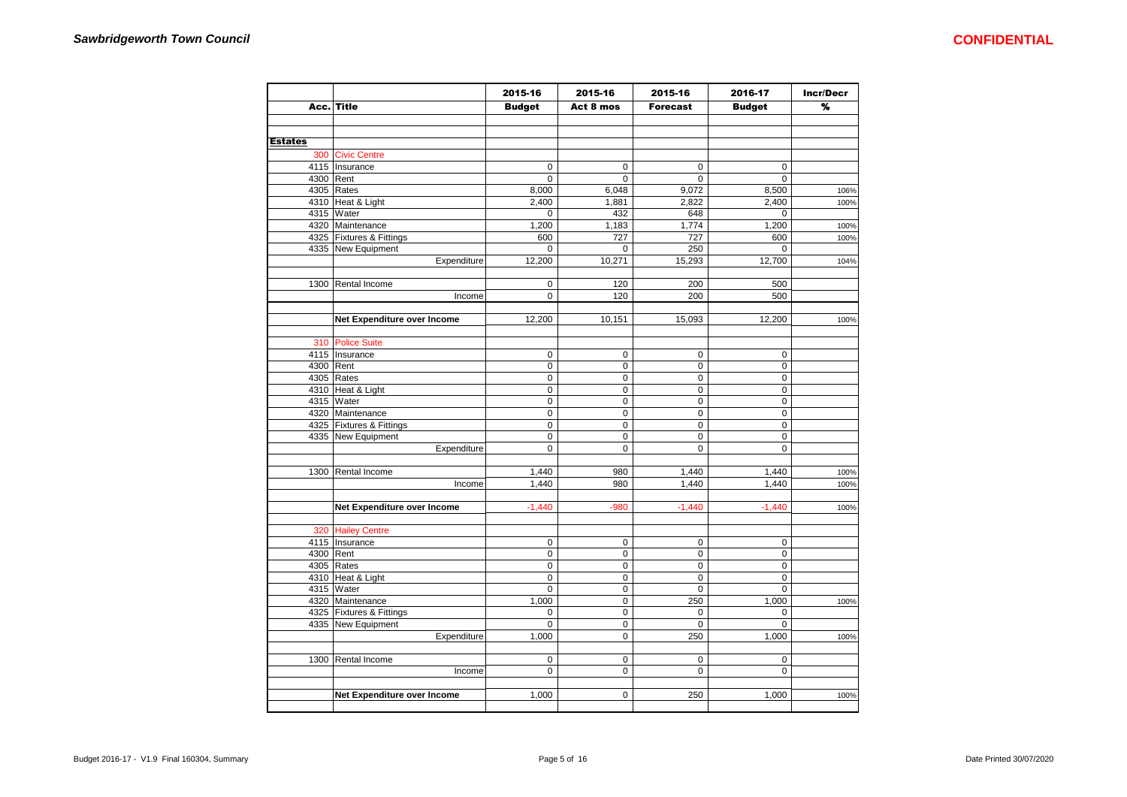|                |                             | 2015-16       | 2015-16     | 2015-16         | 2016-17       | <b>Incr/Decr</b> |
|----------------|-----------------------------|---------------|-------------|-----------------|---------------|------------------|
|                | Acc. Title                  | <b>Budget</b> | Act 8 mos   | <b>Forecast</b> | <b>Budget</b> | %                |
|                |                             |               |             |                 |               |                  |
|                |                             |               |             |                 |               |                  |
| <b>Estates</b> |                             |               |             |                 |               |                  |
|                | 300 Civic Centre            |               |             |                 |               |                  |
|                | 4115   Insurance            | $\mathbf 0$   | $\pmb{0}$   | $\mathsf 0$     | 0             |                  |
| 4300 Rent      |                             | $\mathbf 0$   | 0           | $\mathbf 0$     | 0             |                  |
|                | 4305 Rates                  | 8,000         | 6,048       | 9,072           | 8,500         | 106%             |
|                | 4310 Heat & Light           | 2,400         | 1,881       | 2,822           | 2,400         | 100%             |
|                | 4315 Water                  | 0             | 432         | 648             | 0             |                  |
|                | 4320 Maintenance            | 1,200         | 1,183       | 1,774           | 1,200         | 100%             |
|                | 4325 Fixtures & Fittings    | 600           | 727         | 727             | 600           | 100%             |
|                | 4335 New Equipment          | 0             | 0           | 250             | 0             |                  |
|                | Expenditure                 | 12,200        | 10,271      | 15,293          | 12,700        | 104%             |
|                |                             |               |             |                 |               |                  |
|                | 1300 Rental Income          | $\mathbf 0$   | 120         | 200             | 500           |                  |
|                | Income                      | $\mathbf 0$   | 120         | 200             | 500           |                  |
|                |                             |               |             |                 |               |                  |
|                | Net Expenditure over Income | 12,200        | 10,151      | 15,093          | 12,200        | 100%             |
|                |                             |               |             |                 |               |                  |
|                | 310 Police Suite            |               |             |                 |               |                  |
|                | 4115   Insurance            | 0             | 0           | $\mathbf 0$     | 0             |                  |
| 4300 Rent      |                             | $\mathbf 0$   | 0           | $\mathbf 0$     | 0             |                  |
|                | 4305 Rates                  | $\mathbf 0$   | 0           | $\mathbf 0$     | $\mathbf 0$   |                  |
|                | 4310 Heat & Light           | $\mathbf 0$   | 0           | $\mathbf 0$     | $\mathbf 0$   |                  |
|                | 4315 Water                  | $\mathbf 0$   | 0           | $\mathsf 0$     | 0             |                  |
|                | 4320 Maintenance            | 0             | 0           | 0               | 0             |                  |
|                | 4325   Fixtures & Fittings  | $\pmb{0}$     | 0           | $\mathsf 0$     | 0             |                  |
|                | 4335 New Equipment          | $\pmb{0}$     | 0           | $\mathsf 0$     | 0             |                  |
|                | Expenditure                 | 0             | 0           | $\mathsf 0$     | 0             |                  |
|                |                             |               |             |                 |               |                  |
| 1300           | Rental Income               | 1,440         | 980         | 1,440           | 1,440         | 100%             |
|                | Income                      | 1,440         | 980         | 1,440           | 1,440         | 100%             |
|                |                             |               |             |                 |               |                  |
|                | Net Expenditure over Income | $-1,440$      | $-980$      | $-1.440$        | $-1.440$      | 100%             |
|                |                             |               |             |                 |               |                  |
|                | 320 Hailey Centre           |               |             |                 |               |                  |
|                | 4115   Insurance            | $\mathbf 0$   | $\mathbf 0$ | $\mathbf 0$     | $\mathsf 0$   |                  |
| 4300 Rent      |                             | $\pmb{0}$     | 0           | $\pmb{0}$       | 0             |                  |
|                | 4305 Rates                  | $\mathbf 0$   | 0           | $\pmb{0}$       | 0             |                  |
|                | 4310 Heat & Light           | $\mathbf 0$   | $\mathbf 0$ | 0               | 0             |                  |
|                | 4315 Water                  | $\mathbf 0$   | $\mathbf 0$ | $\mathbf 0$     | 0             |                  |
|                | 4320 Maintenance            | 1,000         | 0           | 250             | 1,000         | 100%             |
|                | 4325   Fixtures & Fittings  | 0             | 0           | $\mathbf 0$     | 0             |                  |
|                | 4335 New Equipment          | $\pmb{0}$     | 0           | 0               | 0             |                  |
|                | Expenditure                 | 1,000         | 0           | 250             | 1,000         | 100%             |
|                |                             |               |             |                 |               |                  |
|                | 1300 Rental Income          | $\mathsf 0$   | 0           | $\mathbf 0$     | 0             |                  |
|                | Income                      | $\pmb{0}$     | 0           | $\mathbf 0$     | 0             |                  |
|                |                             |               |             |                 |               |                  |
|                | Net Expenditure over Income | 1,000         | $\mathbf 0$ | 250             | 1,000         | 100%             |
|                |                             |               |             |                 |               |                  |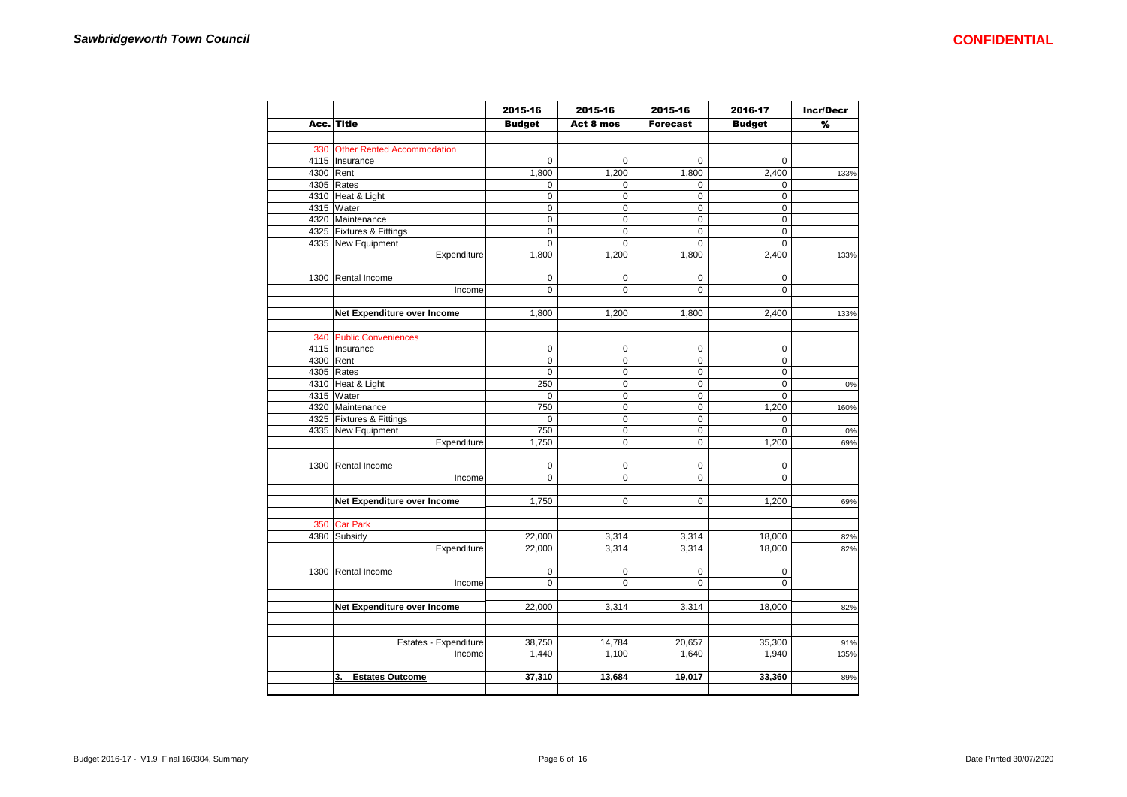|           |                                   | 2015-16        | 2015-16     | 2015-16         | 2016-17       | <b>Incr/Decr</b> |
|-----------|-----------------------------------|----------------|-------------|-----------------|---------------|------------------|
| Acc.      | <b>Title</b>                      | <b>Budget</b>  | Act 8 mos   | <b>Forecast</b> | <b>Budget</b> | %                |
|           |                                   |                |             |                 |               |                  |
| 330       | <b>Other Rented Accommodation</b> |                |             |                 |               |                  |
|           | 4115   Insurance                  | 0              | $\mathbf 0$ | $\Omega$        | $\Omega$      |                  |
| 4300 Rent |                                   | 1,800          | 1,200       | 1,800           | 2,400         | 133%             |
|           | 4305 Rates                        | 0              | $\mathbf 0$ | $\mathbf 0$     | 0             |                  |
|           | 4310 Heat & Light                 | 0              | $\mathbf 0$ | $\mathbf 0$     | $\mathsf 0$   |                  |
|           | 4315 Water                        | 0              | $\mathbf 0$ | 0               | $\mathbf 0$   |                  |
|           | 4320 Maintenance                  | 0              | $\mathbf 0$ | $\mathsf 0$     | 0             |                  |
|           | 4325 Fixtures & Fittings          | 0              | $\mathbf 0$ | $\mathbf 0$     | 0             |                  |
|           | 4335 New Equipment                | 0              | $\mathsf 0$ | $\mathbf 0$     | 0             |                  |
|           | Expenditure                       | 1,800          | 1,200       | 1,800           | 2,400         | 133%             |
|           |                                   |                |             |                 |               |                  |
| 1300      | Rental Income                     | 0              | 0           | $\mathbf 0$     | 0             |                  |
|           | Income                            | $\Omega$       | $\mathbf 0$ | $\mathbf 0$     | $\Omega$      |                  |
|           |                                   |                |             |                 |               |                  |
|           | Net Expenditure over Income       | 1,800          | 1,200       | 1,800           | 2,400         | 133%             |
|           |                                   |                |             |                 |               |                  |
| 340       | <b>Public Conveniences</b>        |                |             |                 |               |                  |
|           | 4115   Insurance                  | 0              | $\mathbf 0$ | $\mathbf 0$     | $\mathsf 0$   |                  |
| 4300 Rent |                                   | 0              | $\mathbf 0$ | $\mathsf 0$     | $\pmb{0}$     |                  |
|           | 4305 Rates                        | 0              | $\mathbf 0$ | $\mathsf 0$     | 0             |                  |
|           | 4310 Heat & Light                 | 250            | $\pmb{0}$   | $\mathbf 0$     | 0             | 0%               |
|           | 4315 Water                        | $\mathbf 0$    | $\mathsf 0$ | 0               | $\mathbf 0$   |                  |
|           | 4320 Maintenance                  | 750            | $\mathsf 0$ | $\mathbf 0$     | 1,200         | 160%             |
|           | 4325 Fixtures & Fittings          | $\mathbf 0$    | $\mathsf 0$ | $\mathbf 0$     | $\mathbf 0$   |                  |
|           | 4335 New Equipment                | 750            | $\mathbf 0$ | 0               | $\Omega$      | 0%               |
|           | Expenditure                       | 1,750          | 0           | $\mathbf 0$     | 1,200         | 69%              |
|           |                                   |                |             |                 |               |                  |
|           | 1300 Rental Income                | $\mathbf 0$    | $\mathbf 0$ | $\mathbf 0$     | $\mathbf 0$   |                  |
|           | Income                            | 0              | $\mathbf 0$ | $\mathbf 0$     | $\Omega$      |                  |
|           |                                   |                |             |                 |               |                  |
|           | Net Expenditure over Income       | 1,750          | $\mathsf 0$ | $\mathbf 0$     | 1,200         | 69%              |
|           |                                   |                |             |                 |               |                  |
| 350       | <b>Car Park</b>                   |                |             |                 |               |                  |
|           | 4380 Subsidy                      | 22,000         | 3,314       | 3,314           | 18,000        |                  |
|           | Expenditure                       | 22,000         | 3,314       | 3,314           | 18,000        | 82%<br>82%       |
|           |                                   |                |             |                 |               |                  |
|           | 1300 Rental Income                | $\mathbf 0$    | $\mathbf 0$ | $\mathbf 0$     | $\mathbf 0$   |                  |
|           | Income                            | $\overline{0}$ | $\mathbf 0$ | $\Omega$        | $\Omega$      |                  |
|           |                                   |                |             |                 |               |                  |
|           |                                   | 22,000         | 3,314       | 3,314           | 18,000        |                  |
|           | Net Expenditure over Income       |                |             |                 |               | 82%              |
|           |                                   |                |             |                 |               |                  |
|           | Estates - Expenditure             |                |             |                 |               |                  |
|           |                                   | 38,750         | 14,784      | 20,657          | 35,300        | 91%              |
|           | Income                            | 1,440          | 1,100       | 1,640           | 1,940         | 135%             |
|           |                                   |                |             |                 |               |                  |
|           | <b>Estates Outcome</b><br>3.      | 37,310         | 13,684      | 19,017          | 33,360        | 89%              |
|           |                                   |                |             |                 |               |                  |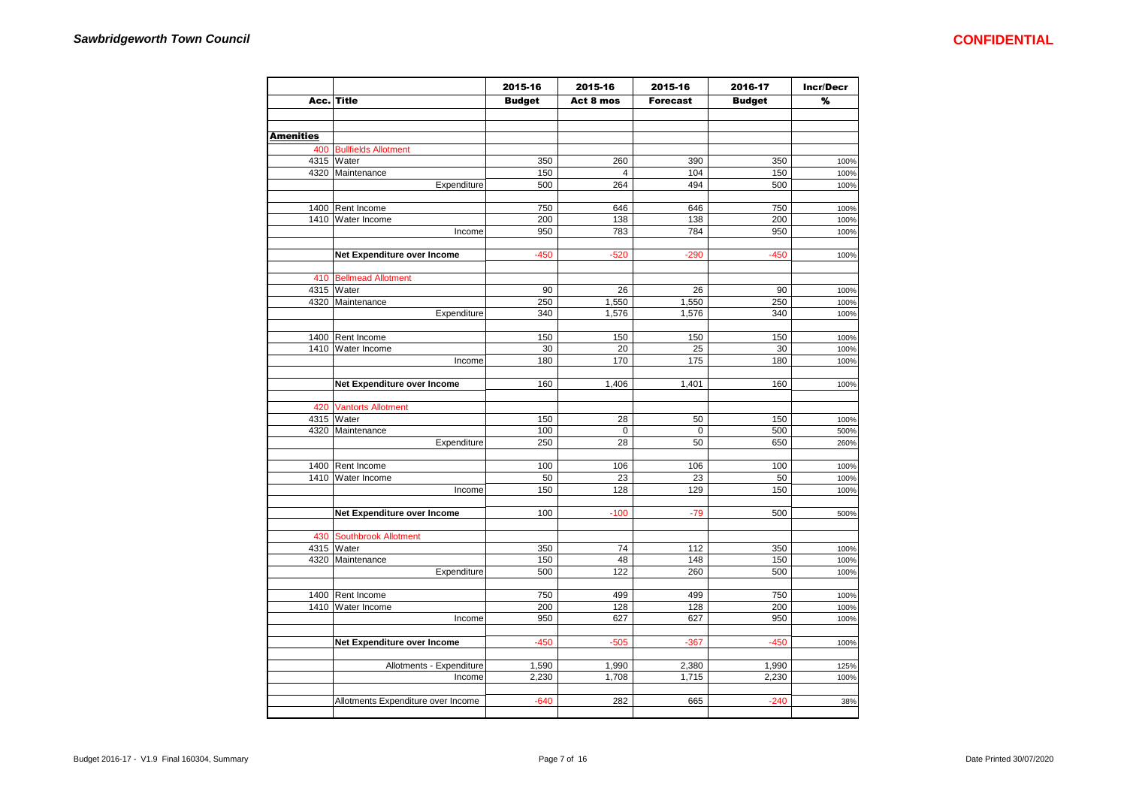|                  |                                    | 2015-16       | 2015-16        | 2015-16         | 2016-17       | <b>Incr/Decr</b> |
|------------------|------------------------------------|---------------|----------------|-----------------|---------------|------------------|
|                  | Acc. Title                         | <b>Budget</b> | Act 8 mos      | <b>Forecast</b> | <b>Budget</b> | ℅                |
|                  |                                    |               |                |                 |               |                  |
| <b>Amenities</b> |                                    |               |                |                 |               |                  |
|                  | 400 Bullfields Allotment           |               |                |                 |               |                  |
|                  | 4315 Water                         | 350           | 260            | 390             | 350           | 100%             |
|                  | 4320 Maintenance                   | 150           | $\overline{4}$ | 104             | 150           | 100%             |
|                  | Expenditure                        | 500           | 264            | 494             | 500           | 100%             |
|                  |                                    |               |                |                 |               |                  |
|                  | 1400 Rent Income                   | 750           | 646            | 646             | 750           | 100%             |
|                  | 1410 Water Income                  | 200           | 138            | 138             | 200           | 100%             |
|                  | Income                             | 950           | 783            | 784             | 950           | 100%             |
|                  |                                    |               |                |                 |               |                  |
|                  | Net Expenditure over Income        | $-450$        | $-520$         | $-290$          | $-450$        | 100%             |
|                  | 410 Bellmead Allotment             |               |                |                 |               |                  |
|                  | 4315 Water                         | 90            | 26             | 26              | 90            | 100%             |
|                  | 4320 Maintenance                   | 250           | 1,550          | 1,550           | 250           | 100%             |
|                  | Expenditure                        | 340           | 1,576          | 1,576           | 340           | 100%             |
|                  |                                    |               |                |                 |               |                  |
|                  | 1400 Rent Income                   | 150           | 150            | 150             | 150           | 100%             |
|                  | 1410 Water Income                  | 30            | 20             | 25              | 30            | 100%             |
|                  | Income                             | 180           | 170            | 175             | 180           | 100%             |
|                  | Net Expenditure over Income        | 160           | 1,406          | 1,401           | 160           | 100%             |
|                  |                                    |               |                |                 |               |                  |
| 420              | <b>Vantorts Allotment</b>          |               |                |                 |               |                  |
|                  | 4315 Water                         | 150           | 28             | 50              | 150           | 100%             |
|                  | 4320 Maintenance                   | 100           | $\pmb{0}$      | $\mathbf 0$     | 500           | 500%             |
|                  | Expenditure                        | 250           | 28             | 50              | 650           | 260%             |
|                  | 1400 Rent Income                   | 100           | 106            | 106             | 100           | 100%             |
|                  | 1410 Water Income                  | 50            | 23             | 23              | 50            | 100%             |
|                  | Income                             | 150           | 128            | 129             | 150           | 100%             |
|                  |                                    |               |                |                 |               |                  |
|                  | Net Expenditure over Income        | 100           | $-100$         | $-79$           | 500           | 500%             |
|                  | 430 Southbrook Allotment           |               |                |                 |               |                  |
|                  | 4315 Water                         | 350           | 74             | 112             | 350           | 100%             |
|                  | 4320 Maintenance                   | 150           | 48             | 148             | 150           | 100%             |
|                  | Expenditure                        | 500           | 122            | 260             | 500           | 100%             |
|                  |                                    |               |                |                 |               |                  |
|                  | 1400 Rent Income                   | 750           | 499            | 499             | 750           | 100%             |
|                  | 1410 Water Income                  | 200           | 128            | 128             | 200           | 100%             |
|                  | Income                             | 950           | 627            | 627             | 950           | 100%             |
|                  | Net Expenditure over Income        | $-450$        | $-505$         | $-367$          | $-450$        | 100%             |
|                  |                                    |               |                |                 |               |                  |
|                  | Allotments - Expenditure           | 1,590         | 1,990          | 2,380           | 1,990         | 125%             |
|                  | Income                             | 2,230         | 1,708          | 1,715           | 2,230         | 100%             |
|                  |                                    |               |                |                 |               |                  |
|                  | Allotments Expenditure over Income | $-640$        | 282            | 665             | $-240$        | 38%              |
|                  |                                    |               |                |                 |               |                  |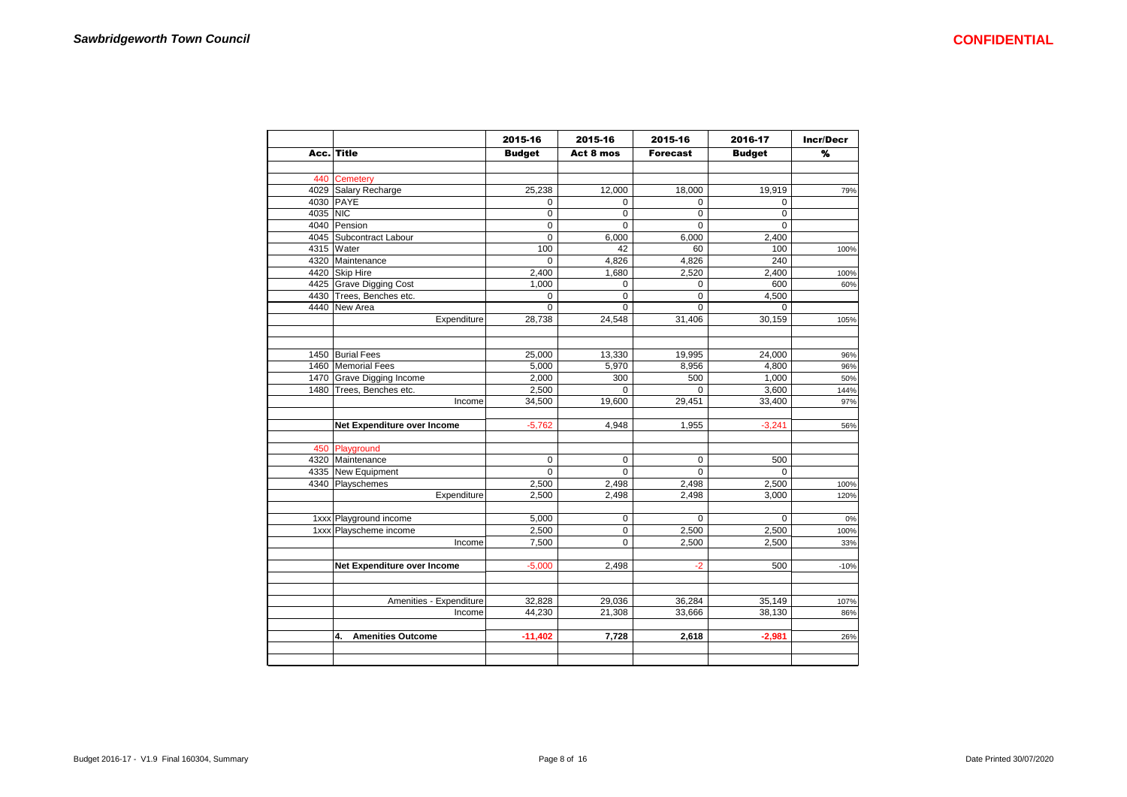|          |                                | 2015-16       | 2015-16        | 2015-16         | 2016-17       | <b>Incr/Decr</b> |
|----------|--------------------------------|---------------|----------------|-----------------|---------------|------------------|
|          | Acc. Title                     | <b>Budget</b> | Act 8 mos      | <b>Forecast</b> | <b>Budget</b> | $\frac{9}{6}$    |
|          |                                |               |                |                 |               |                  |
|          | 440 Cemetery                   |               |                |                 |               |                  |
|          | 4029 Salary Recharge           | 25,238        | 12,000         | 18,000          | 19,919        | 79%              |
|          | 4030 PAYE                      | $\mathbf 0$   | 0              | $\mathbf 0$     | $\Omega$      |                  |
| 4035 NIC |                                | $\mathbf 0$   | 0              | $\mathbf 0$     | $\Omega$      |                  |
|          | 4040 Pension                   | $\mathbf 0$   | 0              | $\mathbf 0$     | $\mathbf 0$   |                  |
|          | 4045 Subcontract Labour        | $\mathbf 0$   | 6,000          | 6,000           | 2,400         |                  |
|          | 4315 Water                     | 100           | 42             | 60              | 100           | 100%             |
|          | 4320 Maintenance               | $\Omega$      | 4,826          | 4,826           | 240           |                  |
|          | 4420 Skip Hire                 | 2,400         | 1,680          | 2,520           | 2,400         | 100%             |
|          | 4425 Grave Digging Cost        | 1,000         | $\mathbf 0$    | $\mathbf 0$     | 600           | 60%              |
|          | 4430 Trees, Benches etc.       | $\mathbf 0$   | 0              | $\mathbf 0$     | 4,500         |                  |
|          | 4440 New Area                  | $\Omega$      | $\Omega$       | $\Omega$        | $\Omega$      |                  |
|          | Expenditure                    | 28,738        | 24,548         | 31,406          | 30,159        | 105%             |
|          |                                |               |                |                 |               |                  |
|          |                                |               |                |                 |               |                  |
|          | 1450 Burial Fees               | 25,000        | 13,330         | 19,995          | 24,000        | 96%              |
|          | 1460 Memorial Fees             | 5,000         | 5,970          | 8,956           | 4,800         | 96%              |
|          | 1470 Grave Digging Income      | 2,000         | 300            | 500             | 1,000         | 50%              |
|          | 1480 Trees, Benches etc.       | 2,500         | $\Omega$       | $\Omega$        | 3,600         | 144%             |
|          | Income                         | 34,500        | 19,600         | 29,451          | 33,400        | 97%              |
|          |                                |               |                |                 |               |                  |
|          | Net Expenditure over Income    | $-5,762$      | 4,948          | 1,955           | $-3,241$      | 56%              |
|          |                                |               |                |                 |               |                  |
|          | 450 Playground                 |               |                |                 |               |                  |
|          | 4320 Maintenance               | $\Omega$      | $\mathbf 0$    | $\mathbf 0$     | 500           |                  |
|          | 4335 New Equipment             | $\Omega$      | $\Omega$       | $\Omega$        | $\Omega$      |                  |
|          | 4340 Playschemes               | 2,500         | 2,498          | 2,498           | 2,500         | 100%             |
|          | Expenditure                    | 2,500         | 2,498          | 2,498           | 3,000         | 120%             |
|          |                                |               |                |                 |               |                  |
|          | 1xxx Playground income         | 5,000         | $\pmb{0}$      | $\mathbf 0$     | $\mathbf 0$   | 0%               |
|          | 1xxx Playscheme income         | 2,500         | $\overline{0}$ | 2,500           | 2,500         | 100%             |
|          | Income                         | 7,500         | $\Omega$       | 2,500           | 2,500         | 33%              |
|          |                                |               |                |                 |               |                  |
|          | Net Expenditure over Income    | $-5,000$      | 2,498          | $-2$            | 500           | $-10%$           |
|          |                                |               |                |                 |               |                  |
|          |                                |               |                |                 |               |                  |
|          | Amenities - Expenditure        | 32,828        | 29,036         | 36,284          | 35,149        | 107%             |
|          | Income                         | 44,230        | 21,308         | 33,666          | 38,130        | 86%              |
|          |                                |               |                |                 |               |                  |
|          | <b>Amenities Outcome</b><br>4. | $-11,402$     | 7,728          | 2,618           | $-2,981$      | 26%              |
|          |                                |               |                |                 |               |                  |
|          |                                |               |                |                 |               |                  |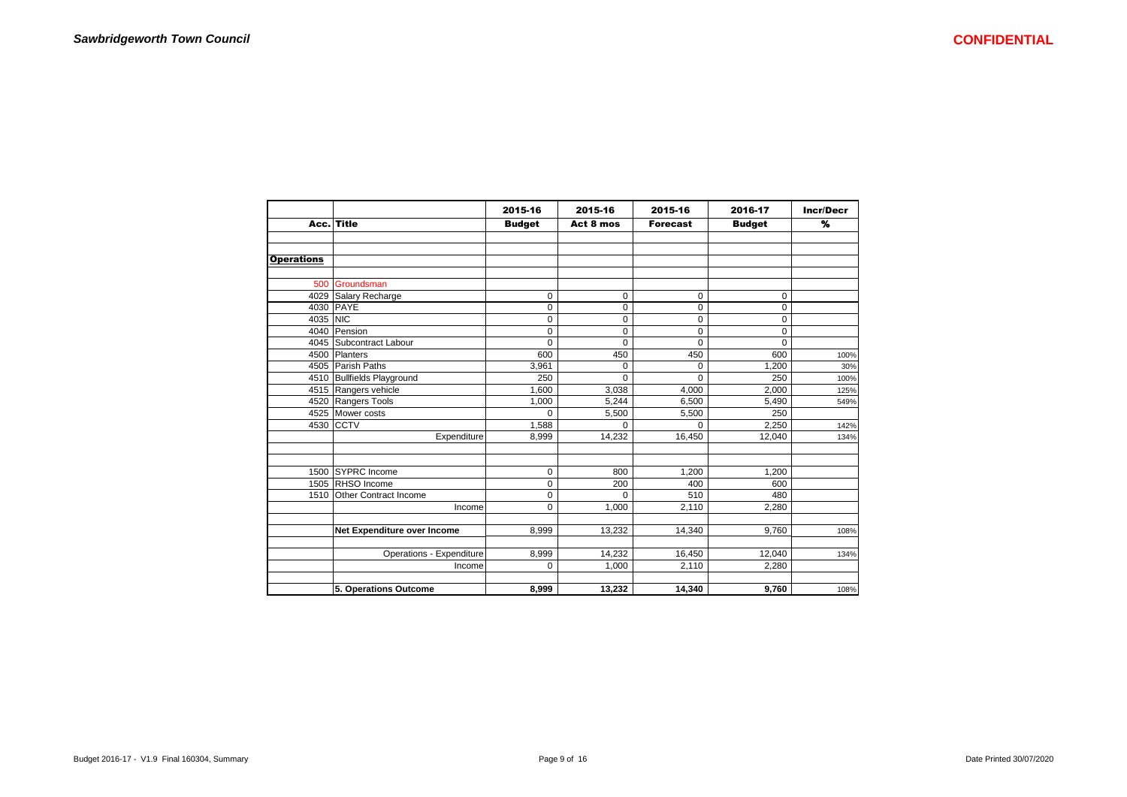|                   |                             | 2015-16       | 2015-16     | 2015-16         | 2016-17       | <b>Incr/Decr</b> |
|-------------------|-----------------------------|---------------|-------------|-----------------|---------------|------------------|
|                   | Acc. Title                  | <b>Budget</b> | Act 8 mos   | <b>Forecast</b> | <b>Budget</b> | %                |
|                   |                             |               |             |                 |               |                  |
|                   |                             |               |             |                 |               |                  |
| <b>Operations</b> |                             |               |             |                 |               |                  |
|                   |                             |               |             |                 |               |                  |
|                   | 500 Groundsman              |               |             |                 |               |                  |
|                   | 4029 Salary Recharge        | 0             | $\mathbf 0$ | 0               | $\mathbf 0$   |                  |
|                   | 4030 PAYE                   | $\mathbf 0$   | $\mathbf 0$ | $\mathbf 0$     | $\mathbf 0$   |                  |
| 4035 NIC          |                             | 0             | 0           | $\mathbf 0$     | 0             |                  |
| 4040              | Pension                     | 0             | $\mathbf 0$ | 0               | $\mathbf 0$   |                  |
|                   | 4045   Subcontract Labour   | 0             | $\mathbf 0$ | $\Omega$        | $\Omega$      |                  |
|                   | 4500 Planters               | 600           | 450         | 450             | 600           | 100%             |
|                   | 4505 Parish Paths           | 3,961         | 0           | 0               | 1.200         | 30%              |
|                   | 4510 Bullfields Playground  | 250           | $\Omega$    | $\Omega$        | 250           | 100%             |
|                   | 4515 Rangers vehicle        | 1,600         | 3,038       | 4,000           | 2,000         | 125%             |
|                   | 4520 Rangers Tools          | 1,000         | 5,244       | 6,500           | 5,490         | 549%             |
|                   | 4525 Mower costs            | $\Omega$      | 5,500       | 5,500           | 250           |                  |
|                   | 4530 CCTV                   | 1,588         | $\Omega$    | $\Omega$        | 2,250         | 142%             |
|                   | Expenditure                 | 8,999         | 14,232      | 16,450          | 12,040        | 134%             |
|                   |                             |               |             |                 |               |                  |
|                   |                             |               |             |                 |               |                  |
|                   | 1500 SYPRC Income           | $\Omega$      | 800         | 1,200           | 1,200         |                  |
|                   | 1505 RHSO Income            | 0             | 200         | 400             | 600           |                  |
| 1510              | Other Contract Income       | 0             | $\Omega$    | 510             | 480           |                  |
|                   | Income                      | $\Omega$      | 1,000       | 2,110           | 2,280         |                  |
|                   |                             |               |             |                 |               |                  |
|                   | Net Expenditure over Income | 8,999         | 13,232      | 14,340          | 9,760         | 108%             |
|                   |                             |               |             |                 |               |                  |
|                   | Operations - Expenditure    | 8,999         | 14,232      | 16,450          | 12,040        | 134%             |
|                   | Income                      | 0             | 1,000       | 2,110           | 2,280         |                  |
|                   |                             |               |             |                 |               |                  |
|                   | 5. Operations Outcome       | 8,999         | 13,232      | 14,340          | 9,760         | 108%             |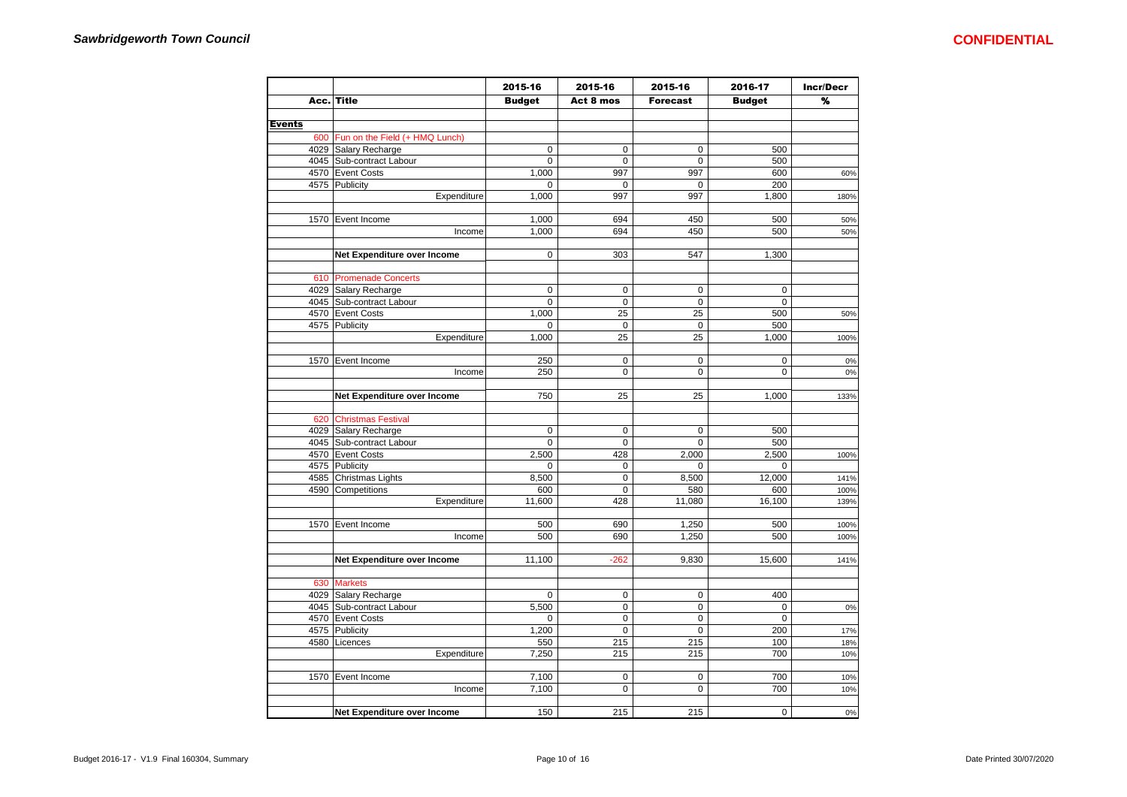|               |                                    | 2015-16       | 2015-16          | 2015-16         | 2016-17       | <b>Incr/Decr</b> |
|---------------|------------------------------------|---------------|------------------|-----------------|---------------|------------------|
|               | Acc. Title                         | <b>Budget</b> | Act 8 mos        | <b>Forecast</b> | <b>Budget</b> | %                |
|               |                                    |               |                  |                 |               |                  |
| <b>Events</b> |                                    |               |                  |                 |               |                  |
|               | 600 Fun on the Field (+ HMQ Lunch) |               |                  |                 |               |                  |
|               | 4029 Salary Recharge               | 0             | $\mathsf 0$      | $\mathbf 0$     | 500           |                  |
|               | 4045 Sub-contract Labour           | $\mathbf 0$   | $\mathsf 0$      | $\mathsf 0$     | 500           |                  |
|               | 4570 Event Costs                   | 1,000         | 997              | 997             | 600           | 60%              |
|               | 4575 Publicity                     | $\mathbf 0$   | $\mathsf 0$      | $\mathbf 0$     | 200           |                  |
|               | Expenditure                        | 1,000         | 997              | 997             | 1,800         | 180%             |
|               |                                    |               |                  |                 |               |                  |
|               | 1570 Event Income                  | 1,000         | 694              | 450             | 500           | 50%              |
|               | Income                             | 1,000         | 694              | 450             | 500           | 50%              |
|               |                                    |               |                  |                 |               |                  |
|               | Net Expenditure over Income        | $\mathbf 0$   | 303              | 547             | 1,300         |                  |
|               |                                    |               |                  |                 |               |                  |
|               | 610 Promenade Concerts             |               |                  |                 |               |                  |
|               | 4029 Salary Recharge               | 0             | $\mathbf 0$      | $\mathbf 0$     | $\mathbf 0$   |                  |
|               | 4045 Sub-contract Labour           | $\mathbf 0$   | 0                | $\mathbf 0$     | $\mathbf 0$   |                  |
|               | 4570 Event Costs                   | 1,000         | 25               | 25              | 500           | 50%              |
|               | 4575 Publicity                     | $\mathbf 0$   | $\pmb{0}$        | $\mathbf 0$     | 500           |                  |
|               | Expenditure                        | 1,000         | 25               | 25              | 1,000         | 100%             |
|               |                                    |               |                  |                 |               |                  |
|               | 1570 Event Income                  | 250           | $\mathbf 0$      | $\mathbf 0$     | $\mathbf 0$   | 0%               |
|               | Income                             | 250           | 0                | 0               | 0             | 0%               |
|               |                                    |               |                  |                 |               |                  |
|               | Net Expenditure over Income        | 750           | 25               | 25              | 1,000         | 133%             |
|               |                                    |               |                  |                 |               |                  |
|               | 620 Christmas Festival             |               |                  |                 |               |                  |
|               | 4029 Salary Recharge               | $\mathbf 0$   | $\mathbf 0$      | $\pmb{0}$       | 500           |                  |
|               | 4045 Sub-contract Labour           | $\mathbf 0$   | $\mathbf 0$      | $\mathbf 0$     | 500           |                  |
|               | 4570 Event Costs                   | 2,500         | 428              | 2,000           | 2,500         | 100%             |
|               | 4575 Publicity                     | 0             | 0                | $\mathbf 0$     | $\mathbf 0$   |                  |
|               | 4585 Christmas Lights              | 8,500         | 0                | 8,500           | 12,000        | 141%             |
|               | 4590 Competitions                  | 600           | $\pmb{0}$        | 580             | 600           | 100%             |
|               | Expenditure                        | 11,600        | 428              | 11,080          | 16,100        | 139%             |
|               |                                    |               |                  |                 |               |                  |
|               | 1570 Event Income                  | 500           | 690              | 1,250           | 500           | 100%             |
|               | Income                             | 500           | 690              | 1,250           | 500           | 100%             |
|               |                                    |               |                  |                 |               |                  |
|               | Net Expenditure over Income        | 11,100        | $-262$           | 9,830           | 15,600        | 141%             |
|               |                                    |               |                  |                 |               |                  |
|               | 630 Markets                        |               |                  |                 |               |                  |
|               | 4029 Salary Recharge               | $\mathbf 0$   | $\mathbf 0$      | $\mathbf 0$     | 400           |                  |
|               | 4045 Sub-contract Labour           | 5,500         | 0                | 0               | 0             | 0%               |
|               | 4570 Event Costs                   | $\mathbf 0$   | 0                | $\pmb{0}$       | $\mathbf 0$   |                  |
|               | 4575 Publicity                     | 1,200         | 0                | $\pmb{0}$       | 200           | 17%              |
|               | 4580   Licences                    | 550           | 215              | 215             | 100           | 18%              |
|               |                                    | 7,250         | 215              | 215             | 700           |                  |
|               | Expenditure                        |               |                  |                 |               | 10%              |
|               |                                    |               |                  |                 |               |                  |
|               | 1570 Event Income                  | 7,100         | $\mathsf 0$<br>0 | $\mathbf 0$     | 700           | 10%              |
|               | Income                             | 7,100         |                  | $\mathbf 0$     | 700           | 10%              |
|               | Net Expenditure over Income        | 150           | 215              | 215             | $\pmb{0}$     | 0%               |
|               |                                    |               |                  |                 |               |                  |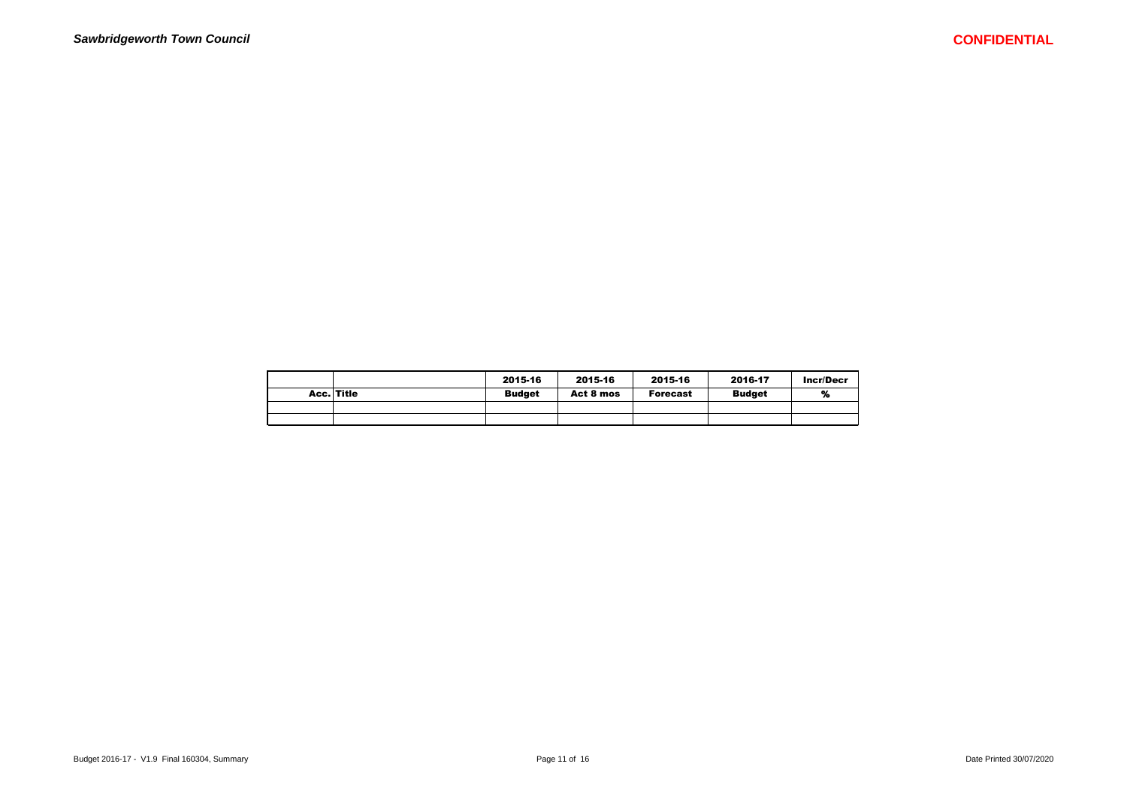|            | 2015-16       | 2015-16   | 2015-16         | 2016-17       | Incr/Decr |
|------------|---------------|-----------|-----------------|---------------|-----------|
| Acc. Title | <b>Budget</b> | Act 8 mos | <b>Forecast</b> | <b>Budget</b> | %         |
|            |               |           |                 |               |           |
|            |               |           |                 |               |           |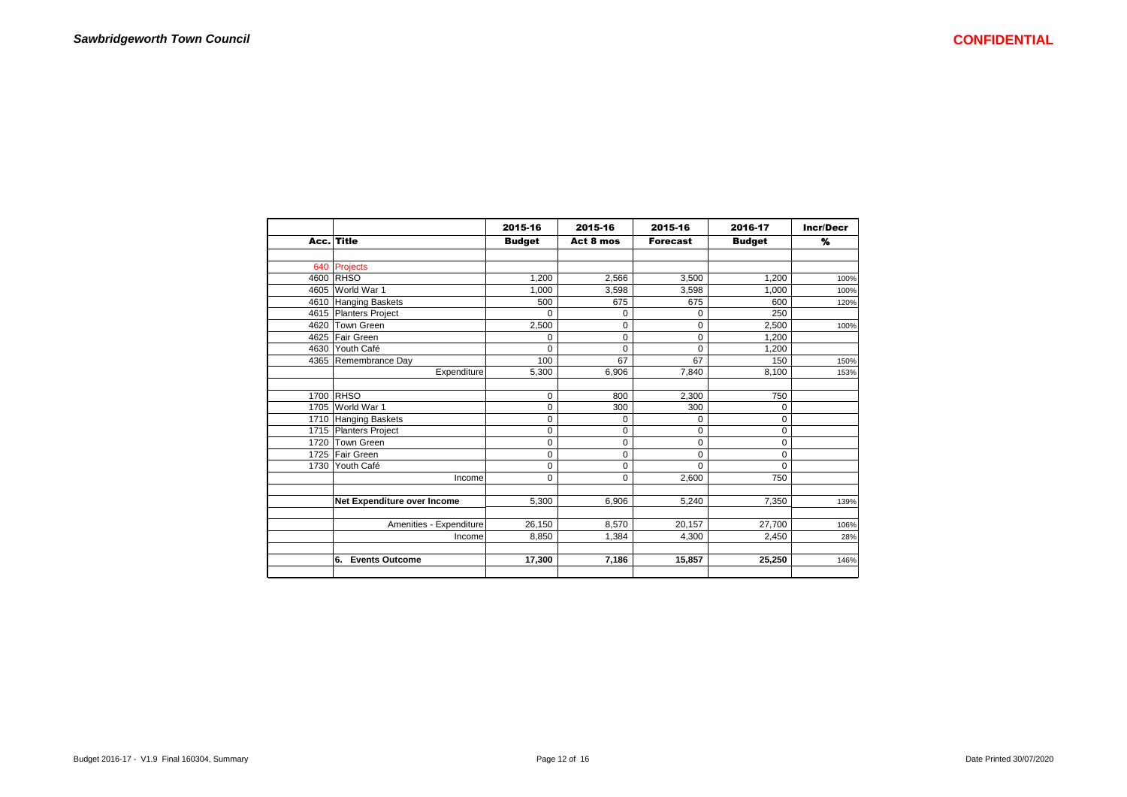|      |                             | 2015-16       | 2015-16     | 2015-16         | 2016-17       | <b>Incr/Decr</b> |
|------|-----------------------------|---------------|-------------|-----------------|---------------|------------------|
|      | Acc. Title                  | <b>Budget</b> | Act 8 mos   | <b>Forecast</b> | <b>Budget</b> | %                |
|      |                             |               |             |                 |               |                  |
| 640  | <b>Projects</b>             |               |             |                 |               |                  |
| 4600 | <b>RHSO</b>                 | 1,200         | 2,566       | 3,500           | 1,200         | 100%             |
| 4605 | World War 1                 | 1.000         | 3,598       | 3.598           | 1.000         | 100%             |
| 4610 | Hanging Baskets             | 500           | 675         | 675             | 600           | 120%             |
| 4615 | Planters Project            | 0             | 0           | 0               | 250           |                  |
| 4620 | <b>Town Green</b>           | 2,500         | 0           | 0               | 2,500         | 100%             |
| 4625 | <b>Fair Green</b>           | 0             | $\mathbf 0$ | 0               | 1,200         |                  |
| 4630 | Youth Café                  | $\Omega$      | $\Omega$    | $\Omega$        | 1,200         |                  |
|      | 4365 Remembrance Day        | 100           | 67          | 67              | 150           | 150%             |
|      | Expenditure                 | 5,300         | 6,906       | 7.840           | 8,100         | 153%             |
|      | 1700 RHSO                   | $\mathbf 0$   | 800         | 2,300           | 750           |                  |
| 1705 | World War 1                 | $\mathbf 0$   | 300         | 300             | 0             |                  |
| 1710 | Hanging Baskets             | $\pmb{0}$     | 0           | 0               | 0             |                  |
| 1715 | Planters Project            | 0             | 0           | 0               | 0             |                  |
| 1720 | Town Green                  | 0             | 0           | 0               | 0             |                  |
|      | 1725 Fair Green             | 0             | $\mathbf 0$ | 0               | $\mathbf 0$   |                  |
| 1730 | Youth Café                  | 0             | $\mathbf 0$ | 0               | $\Omega$      |                  |
|      | Income                      | $\mathbf 0$   | $\mathbf 0$ | 2.600           | 750           |                  |
|      | Net Expenditure over Income | 5.300         | 6.906       | 5,240           | 7,350         | 139%             |
|      | Amenities - Expenditure     | 26,150        | 8,570       | 20,157          | 27,700        | 106%             |
|      | Income                      | 8,850         | 1,384       | 4,300           | 2,450         | 28%              |
|      | 6.<br><b>Events Outcome</b> | 17,300        | 7,186       | 15,857          | 25,250        | 146%             |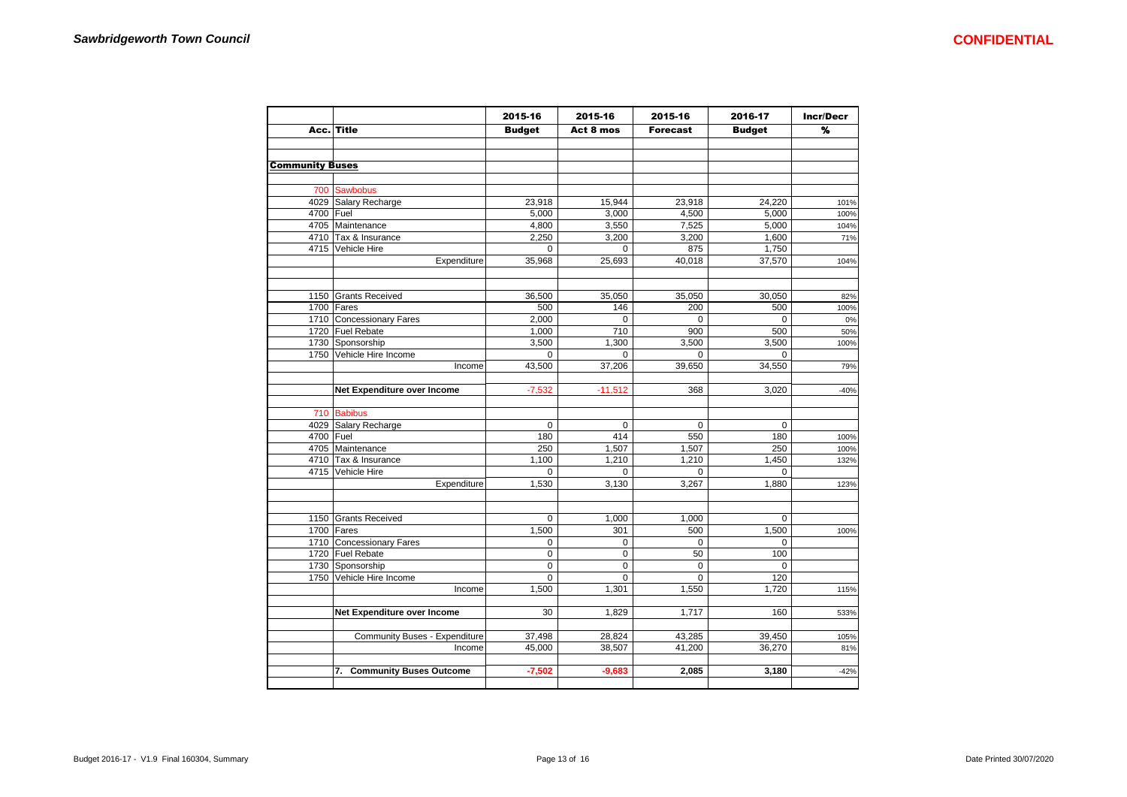|                        |                               | 2015-16       | 2015-16     | 2015-16         | 2016-17       | <b>Incr/Decr</b> |
|------------------------|-------------------------------|---------------|-------------|-----------------|---------------|------------------|
|                        | Acc. Title                    | <b>Budget</b> | Act 8 mos   | <b>Forecast</b> | <b>Budget</b> | %                |
|                        |                               |               |             |                 |               |                  |
| <b>Community Buses</b> |                               |               |             |                 |               |                  |
|                        |                               |               |             |                 |               |                  |
|                        | 700 Sawbobus                  |               |             |                 |               |                  |
|                        | 4029 Salary Recharge          | 23,918        | 15,944      | 23,918          | 24.220        | 101%             |
| 4700 Fuel              |                               | 5,000         | 3,000       | 4,500           | 5,000         | 100%             |
|                        | 4705 Maintenance              | 4,800         | 3,550       | 7,525           | 5,000         | 104%             |
|                        | 4710 Tax & Insurance          | 2,250         | 3,200       | 3,200           | 1,600         | 71%              |
|                        | 4715 Vehicle Hire             | $\mathbf 0$   | $\mathbf 0$ | 875             | 1,750         |                  |
|                        | Expenditure                   | 35,968        | 25,693      | 40,018          | 37,570        | 104%             |
|                        | 1150 Grants Received          | 36,500        | 35,050      | 35,050          | 30,050        | 82%              |
|                        | 1700 Fares                    | 500           | 146         | 200             | 500           | 100%             |
|                        | 1710 Concessionary Fares      | 2,000         | 0           | $\Omega$        | $\Omega$      | 0%               |
|                        | 1720 Fuel Rebate              | 1,000         | 710         | 900             | 500           | 50%              |
|                        | 1730 Sponsorship              | 3,500         | 1,300       | 3,500           | 3,500         |                  |
|                        | 1750 Vehicle Hire Income      | 0             | 0           | $\Omega$        | $\mathbf 0$   | 100%             |
|                        | Income                        | 43,500        | 37,206      | 39,650          | 34,550        | 79%              |
|                        |                               |               |             |                 |               |                  |
|                        | Net Expenditure over Income   | $-7,532$      | $-11,512$   | 368             | 3,020         | $-40%$           |
|                        | 710 Babibus                   |               |             |                 |               |                  |
|                        | 4029 Salary Recharge          | $\mathbf 0$   | $\mathbf 0$ | $\mathbf 0$     | $\mathbf 0$   |                  |
| 4700 Fuel              |                               | 180           | 414         | 550             | 180           | 100%             |
|                        | 4705 Maintenance              | 250           | 1,507       | 1,507           | 250           | 100%             |
|                        | 4710 Tax & Insurance          | 1,100         | 1,210       | 1,210           | 1,450         | 132%             |
|                        | 4715 Vehicle Hire             | $\Omega$      | $\Omega$    | $\Omega$        | $\Omega$      |                  |
|                        | Expenditure                   | 1,530         | 3,130       | 3,267           | 1,880         | 123%             |
|                        |                               |               |             |                 |               |                  |
|                        | 1150 Grants Received          | $\mathbf 0$   | 1,000       | 1,000           | $\mathbf 0$   |                  |
|                        | 1700 Fares                    | 1,500         | 301         | 500             | 1,500         | 100%             |
|                        | 1710 Concessionary Fares      | $\mathbf 0$   | 0           | $\Omega$        | $\mathbf 0$   |                  |
|                        | 1720 Fuel Rebate              | 0             | 0           | 50              | 100           |                  |
|                        | 1730 Sponsorship              | $\mathbf 0$   | $\mathbf 0$ | $\Omega$        | $\Omega$      |                  |
|                        | 1750 Vehicle Hire Income      | $\mathbf 0$   | 0           | $\mathbf 0$     | 120           |                  |
|                        | Income                        | 1,500         | 1,301       | 1,550           | 1,720         | 115%             |
|                        | Net Expenditure over Income   | 30            | 1,829       | 1,717           | 160           | 533%             |
|                        | Community Buses - Expenditure | 37,498        | 28,824      | 43,285          | 39,450        | 105%             |
|                        | Income                        | 45,000        | 38,507      | 41,200          | 36,270        | 81%              |
|                        |                               |               |             |                 |               |                  |
|                        | 7. Community Buses Outcome    | $-7,502$      | $-9,683$    | 2,085           | 3,180         | $-42%$           |
|                        |                               |               |             |                 |               |                  |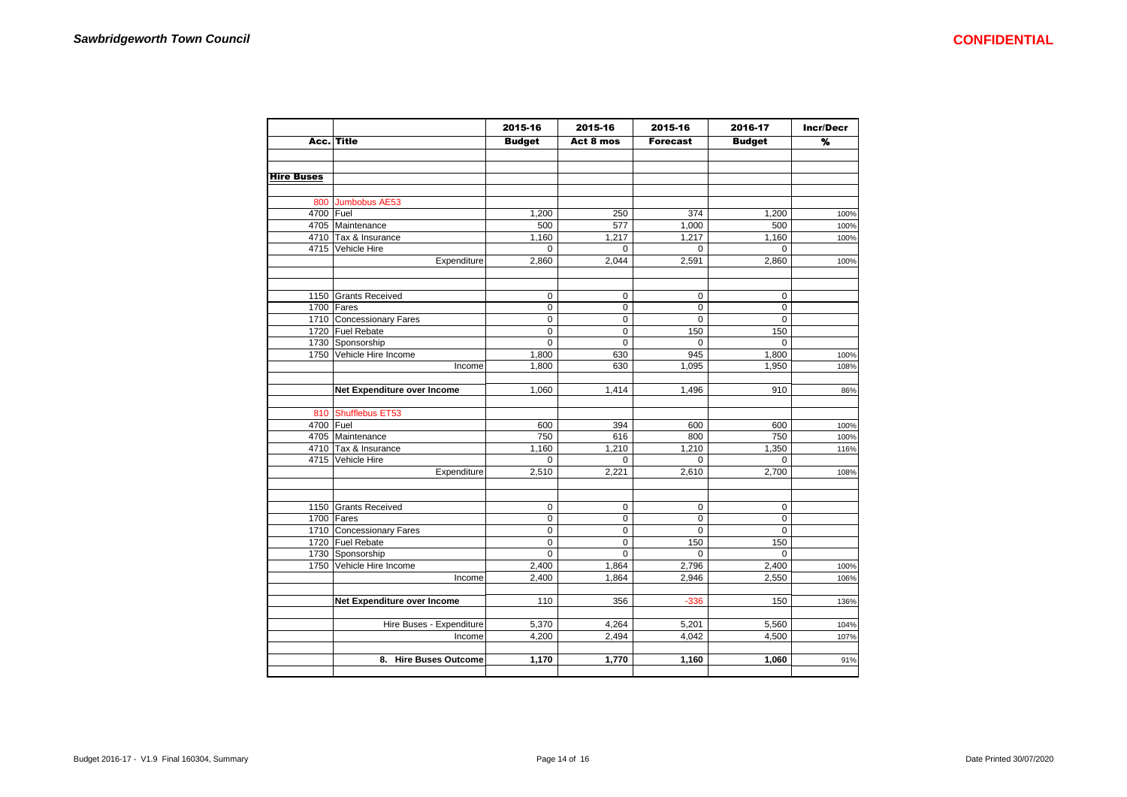|                   |                                              | 2015-16                    | 2015-16     | 2015-16            | 2016-17            | <b>Incr/Decr</b> |
|-------------------|----------------------------------------------|----------------------------|-------------|--------------------|--------------------|------------------|
|                   | Acc. Title                                   | <b>Budget</b>              | Act 8 mos   | <b>Forecast</b>    | <b>Budget</b>      | %                |
|                   |                                              |                            |             |                    |                    |                  |
|                   |                                              |                            |             |                    |                    |                  |
| <b>Hire Buses</b> |                                              |                            |             |                    |                    |                  |
|                   | 800 Jumbobus AE53                            |                            |             |                    |                    |                  |
| 4700 Fuel         |                                              | 1,200                      | 250         | 374                | 1,200              | 100%             |
|                   | 4705 Maintenance                             | 500                        | 577         | 1,000              | 500                | 100%             |
|                   | 4710 Tax & Insurance                         | 1,160                      | 1,217       | 1,217              | 1,160              | 100%             |
|                   | 4715 Vehicle Hire                            | $\Omega$                   | $\mathbf 0$ | $\Omega$           | $\Omega$           |                  |
|                   | Expenditure                                  | 2,860                      | 2,044       | 2,591              | 2,860              | 100%             |
|                   |                                              |                            |             |                    |                    |                  |
|                   | 1150 Grants Received                         | $\mathbf 0$                | $\mathbf 0$ | $\mathbf 0$        | $\mathbf 0$        |                  |
|                   | 1700 Fares                                   | $\mathbf 0$                | 0           | $\mathbf 0$        | $\mathbf 0$        |                  |
|                   | 1710 Concessionary Fares                     | $\mathbf 0$                | 0           | $\mathbf 0$        | $\mathbf 0$        |                  |
|                   | 1720 Fuel Rebate                             | $\Omega$                   | 0           | 150                | 150                |                  |
|                   | 1730 Sponsorship                             | $\mathbf 0$                | $\mathbf 0$ | $\mathbf 0$        | $\mathbf 0$        |                  |
|                   | 1750 Vehicle Hire Income                     | 1,800                      | 630         | 945                | 1,800              | 100%             |
|                   | Income                                       | 1,800                      | 630         | 1,095              | 1,950              | 108%             |
|                   | Net Expenditure over Income                  | 1,060                      | 1,414       | 1,496              | 910                | 86%              |
|                   | 810 Shufflebus ET53                          |                            |             |                    |                    |                  |
| 4700 Fuel         |                                              | 600                        | 394         | 600                | 600                | 100%             |
|                   | 4705 Maintenance                             | 750                        | 616         | 800                | 750                | 100%             |
|                   | 4710 Tax & Insurance                         | 1,160                      | 1,210       | 1,210              | 1,350              | 116%             |
|                   | 4715 Vehicle Hire                            | $\mathbf 0$                | 0           | $\Omega$           | $\Omega$           |                  |
|                   | Expenditure                                  | 2,510                      | 2,221       | 2,610              | 2,700              | 108%             |
|                   |                                              |                            |             |                    |                    |                  |
|                   | 1150 Grants Received                         | $\mathbf 0$                | $\pmb{0}$   | $\mathbf 0$        | $\mathbf 0$        |                  |
|                   | $1700$ Fares                                 | $\mathbf 0$                | 0           | $\mathbf 0$        | $\mathbf 0$        |                  |
|                   | 1710 Concessionary Fares<br>1720 Fuel Rebate | $\mathbf 0$<br>$\mathbf 0$ | 0<br>0      | $\mathsf 0$<br>150 | $\mathbf 0$<br>150 |                  |
|                   | 1730 Sponsorship                             | $\Omega$                   | $\Omega$    | $\Omega$           | $\Omega$           |                  |
|                   | 1750 Vehicle Hire Income                     | 2,400                      | 1,864       | 2,796              | 2,400              | 100%             |
|                   | Income                                       | 2,400                      | 1,864       | 2,946              | 2,550              | 106%             |
|                   | Net Expenditure over Income                  | 110                        | 356         | $-336$             | 150                |                  |
|                   |                                              |                            |             |                    |                    | 136%             |
|                   | Hire Buses - Expenditure                     | 5,370                      | 4,264       | 5,201              | 5,560              | 104%             |
|                   | Income                                       | 4,200                      | 2,494       | 4,042              | 4,500              | 107%             |
|                   | 8. Hire Buses Outcome                        | 1,170                      | 1,770       | 1,160              | 1,060              | 91%              |
|                   |                                              |                            |             |                    |                    |                  |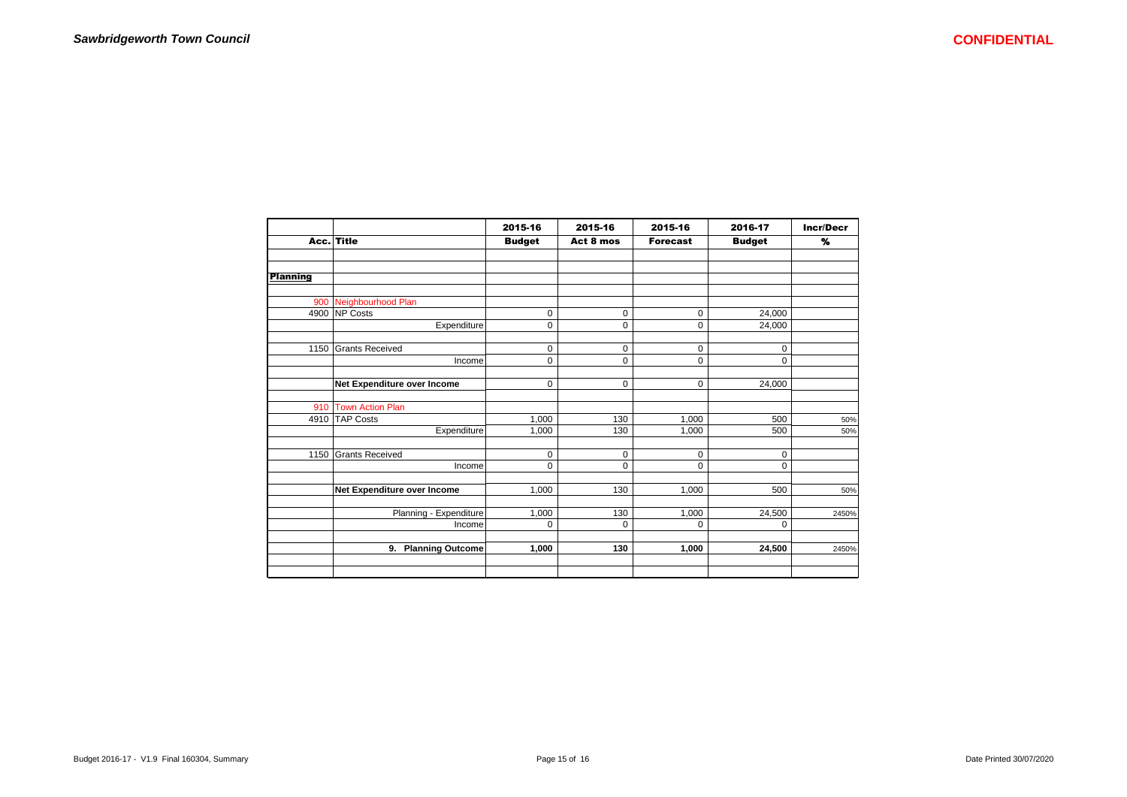|                 |                             | 2015-16          | 2015-16     | 2015-16         | 2016-17       | <b>Incr/Decr</b> |  |
|-----------------|-----------------------------|------------------|-------------|-----------------|---------------|------------------|--|
|                 | Acc. Title                  | <b>Budget</b>    | Act 8 mos   | <b>Forecast</b> | <b>Budget</b> | %                |  |
|                 |                             |                  |             |                 |               |                  |  |
|                 |                             |                  |             |                 |               |                  |  |
| <b>Planning</b> |                             |                  |             |                 |               |                  |  |
|                 |                             |                  |             |                 |               |                  |  |
| 900             | Neighbourhood Plan          |                  |             |                 |               |                  |  |
| 4900            | NP Costs                    | $\mathbf 0$      | $\mathbf 0$ | 0               | 24,000        |                  |  |
|                 | Expenditure                 | 0                | $\mathbf 0$ | $\mathbf 0$     | 24,000        |                  |  |
| 1150            | <b>Grants Received</b>      | $\mathbf 0$      | $\mathbf 0$ | $\mathbf 0$     | $\mathbf 0$   |                  |  |
|                 | Income                      | $\mathbf 0$      | $\mathbf 0$ | $\mathbf 0$     | $\mathbf 0$   |                  |  |
|                 |                             |                  |             |                 |               |                  |  |
|                 | Net Expenditure over Income | 0                | $\mathbf 0$ | $\mathbf 0$     | 24,000        |                  |  |
| 910             | <b>Town Action Plan</b>     |                  |             |                 |               |                  |  |
| 4910            | <b>TAP Costs</b>            | 1,000            | 130         | 1.000           | 500           | 50%              |  |
|                 | Expenditure                 | 1,000            | 130         | 1.000           | 500           | 50%              |  |
|                 |                             |                  |             |                 |               |                  |  |
| 1150            | <b>Grants Received</b>      | 0<br>$\mathbf 0$ | $\mathbf 0$ | $\mathbf 0$     | 0             |                  |  |
|                 | Income                      |                  | $\mathbf 0$ | $\mathbf 0$     | $\mathbf 0$   |                  |  |
|                 | Net Expenditure over Income | 1,000            | 130         | 1,000           | 500           | 50%              |  |
|                 |                             |                  |             |                 |               |                  |  |
|                 | Planning - Expenditure      | 1,000            | 130         | 1,000           | 24,500        | 2450%            |  |
|                 | Income                      | 0                | $\mathbf 0$ | $\Omega$        | 0             |                  |  |
|                 | 9. Planning Outcome         | 1,000            | 130         | 1,000           | 24,500        | 2450%            |  |
|                 |                             |                  |             |                 |               |                  |  |
|                 |                             |                  |             |                 |               |                  |  |